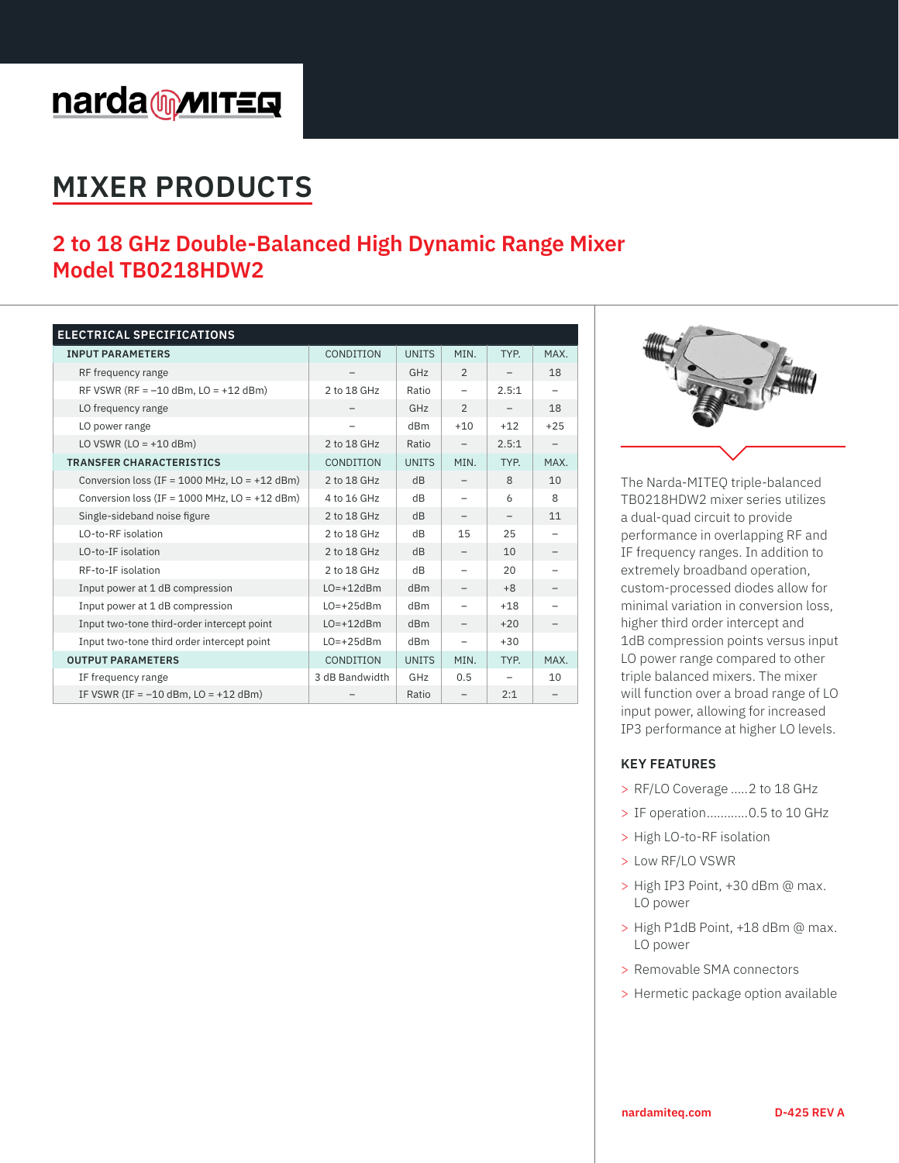# narda multers

## **MIXER PRODUCTS**

### **2 to 18 GHz Double-Balanced High Dynamic Range Mixer Model TB0218HDW2**

| <b>ELECTRICAL SPECIFICATIONS</b>                  |                |                 |                          |       |                          |
|---------------------------------------------------|----------------|-----------------|--------------------------|-------|--------------------------|
| <b>INPUT PARAMETERS</b>                           | CONDITION      | <b>UNITS</b>    | MIN.                     | TYP.  | MAX.                     |
| RF frequency range                                |                | GHz             | $\overline{2}$           |       | 18                       |
| RF VSWR (RF = $-10$ dBm, LO = $+12$ dBm)          | 2 to 18 GHz    | Ratio           | $\overline{\phantom{0}}$ | 2.5:1 | $\overline{\phantom{0}}$ |
| LO frequency range                                |                | GHz             | $\overline{2}$           |       | 18                       |
| LO power range                                    |                | dB <sub>m</sub> | $+10$                    | $+12$ | $+25$                    |
| LO VSWR $(LO = +10$ dBm)                          | 2 to 18 GHz    | Ratio           |                          | 2.5:1 |                          |
| <b>TRANSFER CHARACTERISTICS</b>                   | CONDITION      | <b>UNITS</b>    | MIN.                     | TYP.  | MAX.                     |
| Conversion loss (IF = $1000$ MHz, LO = $+12$ dBm) | 2 to 18 GHz    | dB              |                          | 8     | 10                       |
| Conversion loss (IF = $1000$ MHz, LO = $+12$ dBm) | 4 to 16 GHz    | dB              |                          | 6     | 8                        |
| Single-sideband noise figure                      | 2 to 18 GHz    | dB              |                          |       | 11                       |
| LO-to-RF isolation                                | 2 to 18 GHz    | dB              | 15                       | 25    |                          |
| LO-to-IF isolation                                | 2 to 18 GHz    | dB              |                          | 10    |                          |
| RF-to-IF isolation                                | 2 to 18 GHz    | dB              |                          | 20    |                          |
| Input power at 1 dB compression                   | $LO=+12dBm$    | dBm             |                          | $+8$  |                          |
| Input power at 1 dB compression                   | $LO=+25dBm$    | dB <sub>m</sub> |                          | $+18$ |                          |
| Input two-tone third-order intercept point        | $LO=+12dBm$    | dBm             |                          | $+20$ |                          |
| Input two-tone third order intercept point        | $LO=+25dBm$    | dBm             | $\overline{\phantom{0}}$ | $+30$ |                          |
| <b>OUTPUT PARAMETERS</b>                          | CONDITION      | <b>UNITS</b>    | MIN.                     | TYP.  | MAX.                     |
| IF frequency range                                | 3 dB Bandwidth | GHz             | 0.5                      |       | 10                       |
| IF VSWR (IF = $-10$ dBm, LO = $+12$ dBm)          |                | Ratio           |                          | 2:1   |                          |



The Narda-MITEQ triple-balanced TB0218HDW2 mixer series utilizes a dual-quad circuit to provide performance in overlapping RF and IF frequency ranges. In addition to extremely broadband operation, custom-processed diodes allow for minimal variation in conversion loss, higher third order intercept and 1dB compression points versus input LO power range compared to other triple balanced mixers. The mixer will function over a broad range of LO input power, allowing for increased IP3 performance at higher LO levels.

#### **KEY FEATURES**

- > RF/LO Coverage .....2 to 18 GHz
- > IF operation............0.5 to 10 GHz
- > High LO-to-RF isolation
- > Low RF/LO VSWR
- > High IP3 Point, +30 dBm @ max. LO power
- > High P1dB Point, +18 dBm @ max. LO power
- > Removable SMA connectors
- > Hermetic package option available